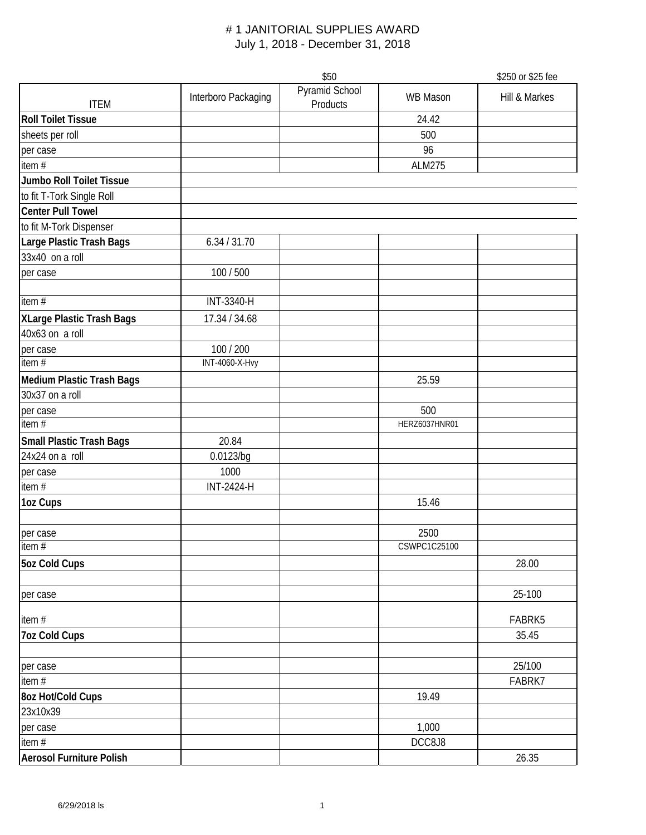|                                 |                       | \$50                       |                      | \$250 or \$25 fee |
|---------------------------------|-----------------------|----------------------------|----------------------|-------------------|
| <b>ITEM</b>                     | Interboro Packaging   | Pyramid School<br>Products | <b>WB Mason</b>      | Hill & Markes     |
| <b>Roll Toilet Tissue</b>       |                       |                            | 24.42                |                   |
| sheets per roll                 |                       |                            | 500                  |                   |
| per case                        |                       |                            | 96                   |                   |
| item#                           |                       |                            | <b>ALM275</b>        |                   |
| <b>Jumbo Roll Toilet Tissue</b> |                       |                            |                      |                   |
| to fit T-Tork Single Roll       |                       |                            |                      |                   |
| <b>Center Pull Towel</b>        |                       |                            |                      |                   |
| to fit M-Tork Dispenser         |                       |                            |                      |                   |
| Large Plastic Trash Bags        | 6.34 / 31.70          |                            |                      |                   |
| 33x40 on a roll                 |                       |                            |                      |                   |
| per case                        | 100 / 500             |                            |                      |                   |
| item#                           | INT-3340-H            |                            |                      |                   |
| XLarge Plastic Trash Bags       | 17.34 / 34.68         |                            |                      |                   |
| 40x63 on a roll                 |                       |                            |                      |                   |
| per case                        | 100 / 200             |                            |                      |                   |
| item $#$                        | <b>INT-4060-X-Hvy</b> |                            |                      |                   |
| Medium Plastic Trash Bags       |                       |                            | 25.59                |                   |
| 30x37 on a roll                 |                       |                            |                      |                   |
| per case<br>item $#$            |                       |                            | 500<br>HERZ6037HNR01 |                   |
| Small Plastic Trash Bags        | 20.84                 |                            |                      |                   |
| 24x24 on a roll                 | 0.0123/bg             |                            |                      |                   |
| per case                        | 1000                  |                            |                      |                   |
| item#                           | <b>INT-2424-H</b>     |                            |                      |                   |
| 1oz Cups                        |                       |                            | 15.46                |                   |
|                                 |                       |                            |                      |                   |
| per case                        |                       |                            | 2500                 |                   |
| item#                           |                       |                            | CSWPC1C25100         |                   |
| 5oz Cold Cups                   |                       |                            |                      | 28.00             |
| per case                        |                       |                            |                      | 25-100            |
| item#                           |                       |                            |                      | FABRK5            |
| <b>7oz Cold Cups</b>            |                       |                            |                      | 35.45             |
| per case                        |                       |                            |                      | 25/100            |
| item#                           |                       |                            |                      | FABRK7            |
| 8oz Hot/Cold Cups               |                       |                            | 19.49                |                   |
| 23x10x39                        |                       |                            |                      |                   |
| per case                        |                       |                            | 1,000                |                   |
| item#                           |                       |                            | DCC8J8               |                   |
| Aerosol Furniture Polish        |                       |                            |                      | 26.35             |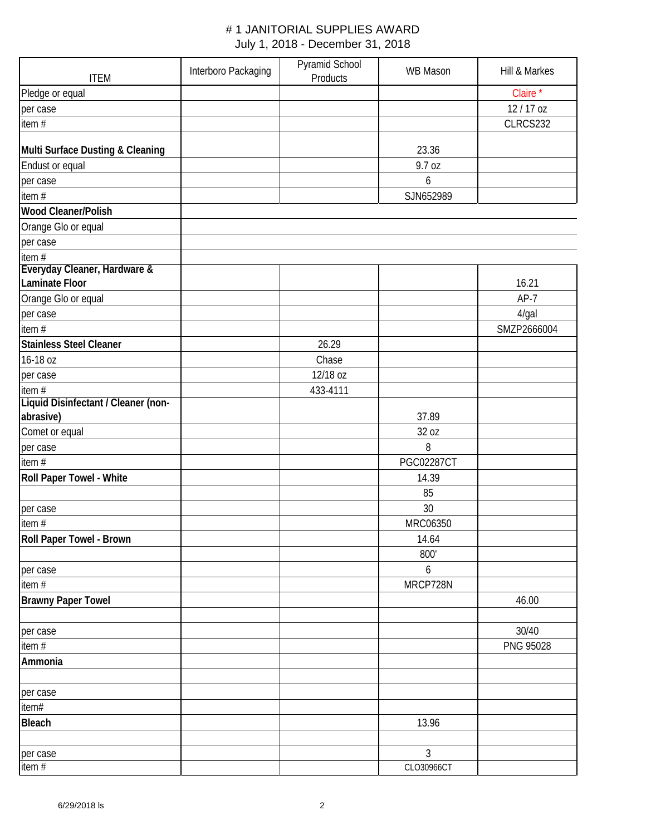| <b>ITEM</b>                                           | Interboro Packaging | Pyramid School<br>Products | <b>WB Mason</b>   | Hill & Markes |
|-------------------------------------------------------|---------------------|----------------------------|-------------------|---------------|
| Pledge or equal                                       |                     |                            |                   | Claire*       |
| per case                                              |                     |                            |                   | 12/17 oz      |
| item#                                                 |                     |                            |                   | CLRCS232      |
| Multi Surface Dusting & Cleaning                      |                     |                            | 23.36             |               |
| Endust or equal                                       |                     |                            | 9.7 oz            |               |
| per case                                              |                     |                            | 6                 |               |
| item#                                                 |                     |                            | SJN652989         |               |
| <b>Wood Cleaner/Polish</b>                            |                     |                            |                   |               |
| Orange Glo or equal                                   |                     |                            |                   |               |
| per case                                              |                     |                            |                   |               |
| item $#$                                              |                     |                            |                   |               |
| Everyday Cleaner, Hardware &<br><b>Laminate Floor</b> |                     |                            |                   | 16.21         |
| Orange Glo or equal                                   |                     |                            |                   | $AP-7$        |
| per case                                              |                     |                            |                   | 4/gal         |
| item#                                                 |                     |                            |                   | SMZP2666004   |
| <b>Stainless Steel Cleaner</b>                        |                     | 26.29                      |                   |               |
| 16-18 oz                                              |                     | Chase                      |                   |               |
| per case                                              |                     | 12/18 oz                   |                   |               |
| item $#$                                              |                     | 433-4111                   |                   |               |
| Liquid Disinfectant / Cleaner (non-                   |                     |                            |                   |               |
| abrasive)                                             |                     |                            | 37.89             |               |
| Comet or equal                                        |                     |                            | 32 oz             |               |
| per case                                              |                     |                            | 8                 |               |
| item#                                                 |                     |                            | <b>PGC02287CT</b> |               |
| Roll Paper Towel - White                              |                     |                            | 14.39             |               |
|                                                       |                     |                            | 85                |               |
| per case                                              |                     |                            | 30                |               |
| item#                                                 |                     |                            | MRC06350          |               |
| Roll Paper Towel - Brown                              |                     |                            | 14.64             |               |
|                                                       |                     |                            | 800'              |               |
| per case                                              |                     |                            | 6                 |               |
| item $#$                                              |                     |                            | MRCP728N          |               |
| <b>Brawny Paper Towel</b>                             |                     |                            |                   | 46.00         |
|                                                       |                     |                            |                   |               |
| per case                                              |                     |                            |                   | 30/40         |
| item#                                                 |                     |                            |                   | PNG 95028     |
| Ammonia                                               |                     |                            |                   |               |
| per case                                              |                     |                            |                   |               |
| item#                                                 |                     |                            |                   |               |
| <b>Bleach</b>                                         |                     |                            | 13.96             |               |
|                                                       |                     |                            |                   |               |
| per case                                              |                     |                            | $\mathfrak{Z}$    |               |
| item#                                                 |                     |                            | CLO30966CT        |               |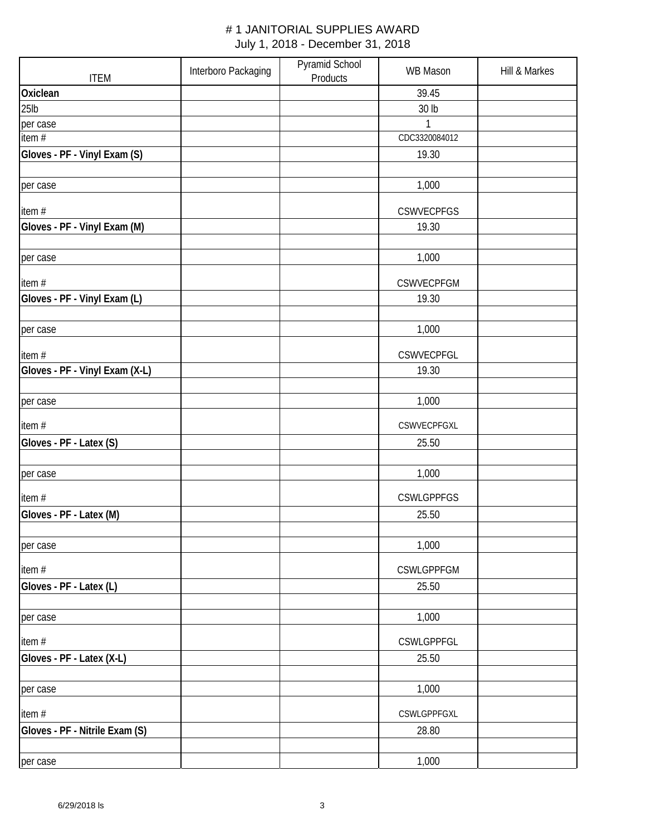| <b>ITEM</b>                    | Interboro Packaging | Pyramid School<br>Products | <b>WB Mason</b>   | Hill & Markes |
|--------------------------------|---------------------|----------------------------|-------------------|---------------|
| Oxiclean                       |                     |                            | 39.45             |               |
| 25 <sub>lb</sub>               |                     |                            | 30 lb             |               |
| per case                       |                     |                            | $\mathbf{1}$      |               |
| item#                          |                     |                            | CDC3320084012     |               |
| Gloves - PF - Vinyl Exam (S)   |                     |                            | 19.30             |               |
| per case                       |                     |                            | 1,000             |               |
| item#                          |                     |                            | <b>CSWVECPFGS</b> |               |
| Gloves - PF - Vinyl Exam (M)   |                     |                            | 19.30             |               |
| per case                       |                     |                            | 1,000             |               |
| item#                          |                     |                            | CSWVECPFGM        |               |
| Gloves - PF - Vinyl Exam (L)   |                     |                            | 19.30             |               |
|                                |                     |                            |                   |               |
| per case                       |                     |                            | 1,000             |               |
| item#                          |                     |                            | CSWVECPFGL        |               |
| Gloves - PF - Vinyl Exam (X-L) |                     |                            | 19.30             |               |
| per case                       |                     |                            | 1,000             |               |
| item#                          |                     |                            | CSWVECPFGXL       |               |
| Gloves - PF - Latex (S)        |                     |                            | 25.50             |               |
|                                |                     |                            |                   |               |
| per case                       |                     |                            | 1,000             |               |
| item#                          |                     |                            | <b>CSWLGPPFGS</b> |               |
| Gloves - PF - Latex (M)        |                     |                            | 25.50             |               |
| per case                       |                     |                            | 1,000             |               |
| item#                          |                     |                            | <b>CSWLGPPFGM</b> |               |
| Gloves - PF - Latex (L)        |                     |                            | 25.50             |               |
| per case                       |                     |                            | 1,000             |               |
| item#                          |                     |                            | CSWLGPPFGL        |               |
| Gloves - PF - Latex (X-L)      |                     |                            | 25.50             |               |
| per case                       |                     |                            | 1,000             |               |
| item#                          |                     |                            | CSWLGPPFGXL       |               |
| Gloves - PF - Nitrile Exam (S) |                     |                            | 28.80             |               |
|                                |                     |                            |                   |               |
| per case                       |                     |                            | 1,000             |               |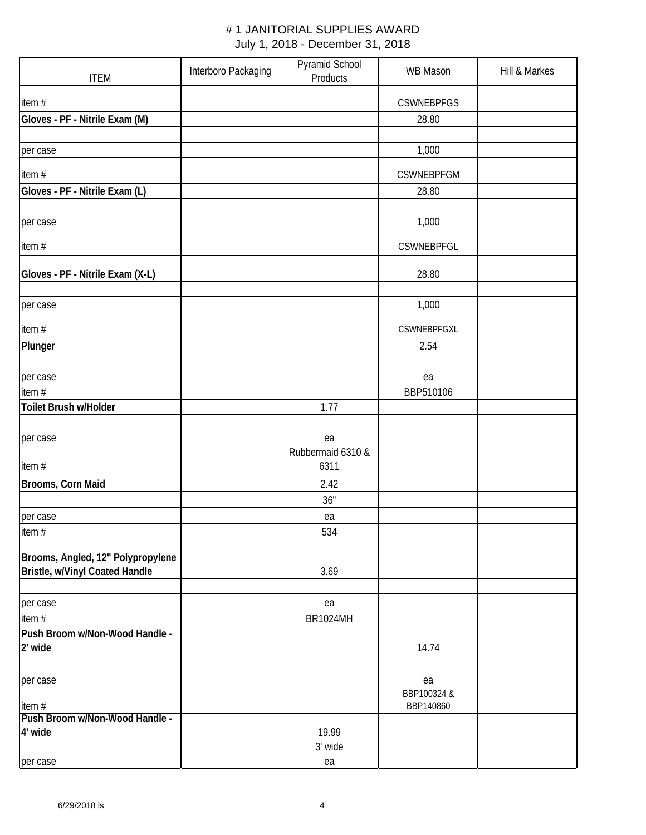| <b>ITEM</b>                       | Interboro Packaging | Pyramid School<br>Products | <b>WB Mason</b>          | Hill & Markes |
|-----------------------------------|---------------------|----------------------------|--------------------------|---------------|
| item#                             |                     |                            | <b>CSWNEBPFGS</b>        |               |
| Gloves - PF - Nitrile Exam (M)    |                     |                            | 28.80                    |               |
|                                   |                     |                            |                          |               |
| per case                          |                     |                            | 1,000                    |               |
| item#                             |                     |                            | CSWNEBPFGM               |               |
| Gloves - PF - Nitrile Exam (L)    |                     |                            | 28.80                    |               |
|                                   |                     |                            |                          |               |
| per case                          |                     |                            | 1,000                    |               |
| item#                             |                     |                            | <b>CSWNEBPFGL</b>        |               |
| Gloves - PF - Nitrile Exam (X-L)  |                     |                            | 28.80                    |               |
| per case                          |                     |                            | 1,000                    |               |
|                                   |                     |                            |                          |               |
| item#                             |                     |                            | CSWNEBPFGXL              |               |
| Plunger                           |                     |                            | 2.54                     |               |
| per case                          |                     |                            | ea                       |               |
| item#                             |                     |                            | BBP510106                |               |
| Toilet Brush w/Holder             |                     | 1.77                       |                          |               |
|                                   |                     |                            |                          |               |
| per case                          |                     | ea                         |                          |               |
|                                   |                     | Rubbermaid 6310 &          |                          |               |
| item#                             |                     | 6311                       |                          |               |
| Brooms, Corn Maid                 |                     | 2.42                       |                          |               |
|                                   |                     | 36"                        |                          |               |
| per case<br>item#                 |                     | ea<br>534                  |                          |               |
|                                   |                     |                            |                          |               |
| Brooms, Angled, 12" Polypropylene |                     |                            |                          |               |
| Bristle, w/Vinyl Coated Handle    |                     | 3.69                       |                          |               |
| per case                          |                     | ea                         |                          |               |
| item#                             |                     | <b>BR1024MH</b>            |                          |               |
| Push Broom w/Non-Wood Handle -    |                     |                            |                          |               |
| 2' wide                           |                     |                            | 14.74                    |               |
| per case                          |                     |                            | ea                       |               |
| item#                             |                     |                            | BBP100324 &<br>BBP140860 |               |
| Push Broom w/Non-Wood Handle -    |                     |                            |                          |               |
| 4' wide                           |                     | 19.99                      |                          |               |
|                                   |                     | 3' wide                    |                          |               |
| per case                          |                     | ea                         |                          |               |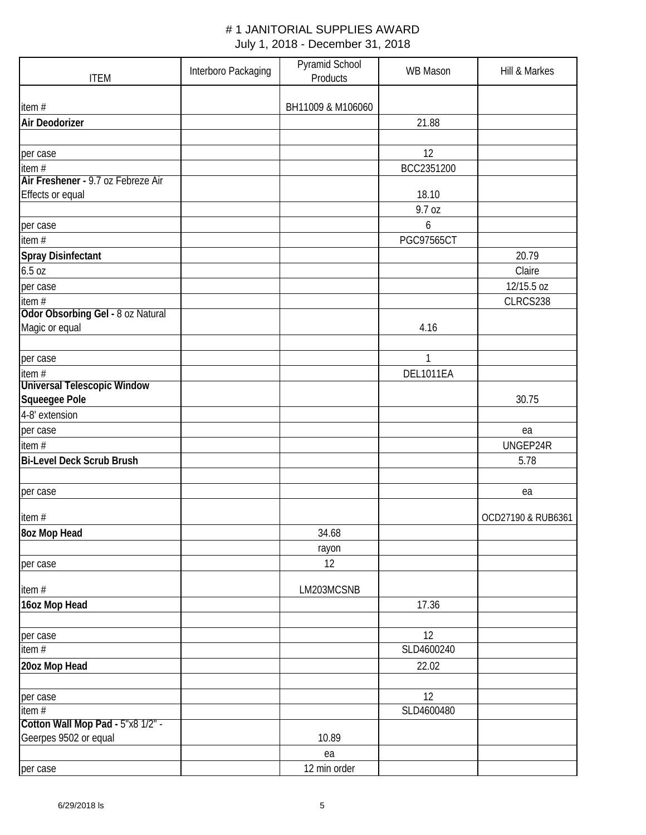| <b>ITEM</b>                        | Interboro Packaging | Pyramid School<br>Products | <b>WB Mason</b>   | Hill & Markes      |
|------------------------------------|---------------------|----------------------------|-------------------|--------------------|
| item#                              |                     | BH11009 & M106060          |                   |                    |
| <b>Air Deodorizer</b>              |                     |                            |                   |                    |
|                                    |                     |                            | 21.88             |                    |
| per case                           |                     |                            | 12                |                    |
| item#                              |                     |                            | BCC2351200        |                    |
| Air Freshener - 9.7 oz Febreze Air |                     |                            |                   |                    |
| Effects or equal                   |                     |                            | 18.10             |                    |
|                                    |                     |                            | 9.7 oz            |                    |
| per case                           |                     |                            | 6                 |                    |
| item#                              |                     |                            | <b>PGC97565CT</b> |                    |
| <b>Spray Disinfectant</b>          |                     |                            |                   | 20.79              |
| 6.5 oz                             |                     |                            |                   | Claire             |
| per case                           |                     |                            |                   | 12/15.5 oz         |
| item#                              |                     |                            |                   | CLRCS238           |
| Odor Obsorbing Gel - 8 oz Natural  |                     |                            |                   |                    |
| Magic or equal                     |                     |                            | 4.16              |                    |
|                                    |                     |                            |                   |                    |
| per case                           |                     |                            | $\mathbf{1}$      |                    |
| item $#$                           |                     |                            | <b>DEL1011EA</b>  |                    |
| <b>Universal Telescopic Window</b> |                     |                            |                   |                    |
| Squeegee Pole                      |                     |                            |                   | 30.75              |
| 4-8' extension                     |                     |                            |                   |                    |
| per case                           |                     |                            |                   | ea                 |
| item $#$                           |                     |                            |                   | UNGEP24R           |
| <b>Bi-Level Deck Scrub Brush</b>   |                     |                            |                   | 5.78               |
|                                    |                     |                            |                   |                    |
| per case                           |                     |                            |                   | ea                 |
| item#                              |                     |                            |                   | OCD27190 & RUB6361 |
| 8oz Mop Head                       |                     | 34.68                      |                   |                    |
|                                    |                     | rayon                      |                   |                    |
| per case                           |                     | 12                         |                   |                    |
|                                    |                     |                            |                   |                    |
| item#                              |                     | LM203MCSNB                 |                   |                    |
| 16oz Mop Head                      |                     |                            | 17.36             |                    |
| per case                           |                     |                            | 12                |                    |
| item#                              |                     |                            | SLD4600240        |                    |
| 20oz Mop Head                      |                     |                            | 22.02             |                    |
|                                    |                     |                            |                   |                    |
| per case                           |                     |                            | 12                |                    |
| item $#$                           |                     |                            | SLD4600480        |                    |
| Cotton Wall Mop Pad - 5"x8 1/2" -  |                     |                            |                   |                    |
| Geerpes 9502 or equal              |                     | 10.89                      |                   |                    |
|                                    |                     | ea                         |                   |                    |
| per case                           |                     | 12 min order               |                   |                    |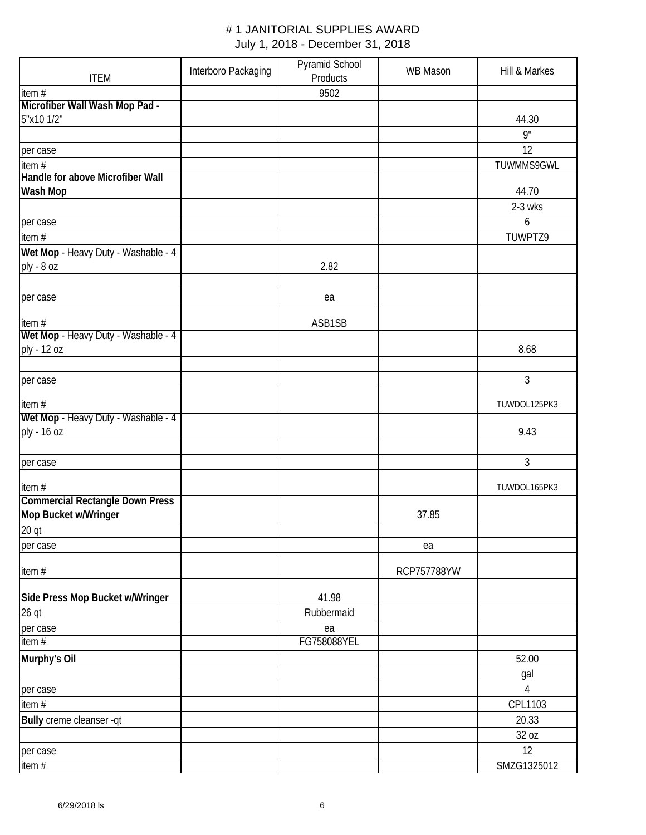| <b>ITEM</b>                                  | Interboro Packaging | Pyramid School<br>Products | <b>WB Mason</b> | Hill & Markes |
|----------------------------------------------|---------------------|----------------------------|-----------------|---------------|
| item#                                        |                     | 9502                       |                 |               |
| Microfiber Wall Wash Mop Pad -               |                     |                            |                 |               |
| 5"x10 1/2"                                   |                     |                            |                 | 44.30         |
|                                              |                     |                            |                 | 9"            |
| per case                                     |                     |                            |                 | 12            |
| item#                                        |                     |                            |                 | TUWMMS9GWL    |
| Handle for above Microfiber Wall<br>Wash Mop |                     |                            |                 | 44.70         |
|                                              |                     |                            |                 | $2-3$ wks     |
| per case                                     |                     |                            |                 | 6             |
| item $#$                                     |                     |                            |                 | TUWPTZ9       |
| Wet Mop - Heavy Duty - Washable - 4          |                     |                            |                 |               |
| ply - 8 oz                                   |                     | 2.82                       |                 |               |
|                                              |                     |                            |                 |               |
| per case                                     |                     | ea                         |                 |               |
|                                              |                     |                            |                 |               |
| item#<br>Wet Mop - Heavy Duty - Washable - 4 |                     | ASB1SB                     |                 |               |
| ply - 12 oz                                  |                     |                            |                 | 8.68          |
|                                              |                     |                            |                 |               |
| per case                                     |                     |                            |                 | 3             |
| item#                                        |                     |                            |                 | TUWDOL125PK3  |
| Wet Mop - Heavy Duty - Washable - 4          |                     |                            |                 |               |
| ply - 16 oz                                  |                     |                            |                 | 9.43          |
|                                              |                     |                            |                 |               |
| per case                                     |                     |                            |                 | 3             |
| item#                                        |                     |                            |                 | TUWDOL165PK3  |
| <b>Commercial Rectangle Down Press</b>       |                     |                            |                 |               |
| Mop Bucket w/Wringer                         |                     |                            | 37.85           |               |
| 20 qt                                        |                     |                            |                 |               |
| per case                                     |                     |                            | ea              |               |
|                                              |                     |                            |                 |               |
| item#                                        |                     |                            | RCP757788YW     |               |
| Side Press Mop Bucket w/Wringer              |                     | 41.98                      |                 |               |
| $26$ qt                                      |                     | Rubbermaid                 |                 |               |
| per case                                     |                     | ea                         |                 |               |
| item #                                       |                     | FG758088YEL                |                 |               |
| Murphy's Oil                                 |                     |                            |                 | 52.00         |
|                                              |                     |                            |                 | gal           |
| per case                                     |                     |                            |                 | 4             |
| item#                                        |                     |                            |                 | CPL1103       |
| Bully creme cleanser -qt                     |                     |                            |                 | 20.33         |
|                                              |                     |                            |                 | 32 oz         |
| per case                                     |                     |                            |                 | 12            |
| item#                                        |                     |                            |                 | SMZG1325012   |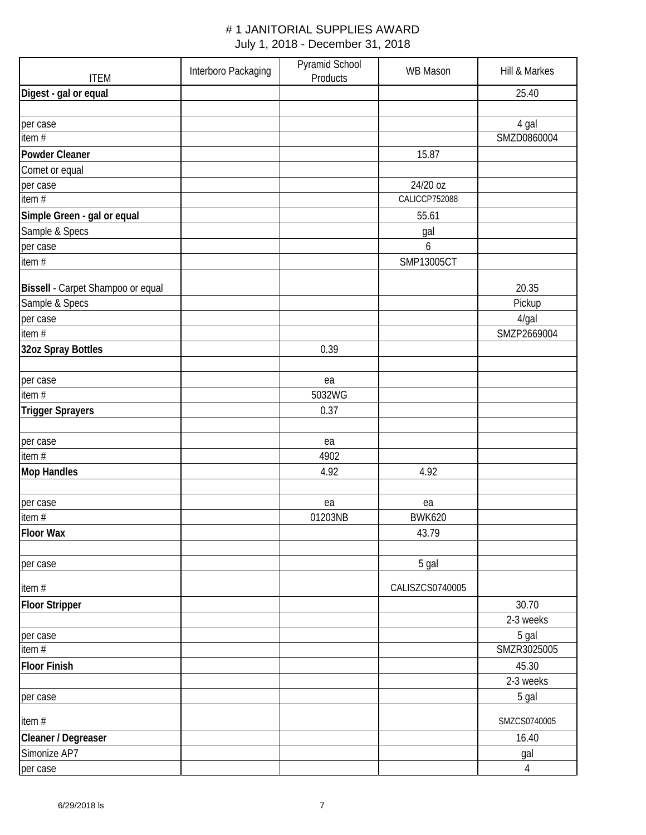| <b>ITEM</b>                       | Interboro Packaging | Pyramid School<br>Products | <b>WB Mason</b> | Hill & Markes  |
|-----------------------------------|---------------------|----------------------------|-----------------|----------------|
| Digest - gal or equal             |                     |                            |                 | 25.40          |
|                                   |                     |                            |                 |                |
| per case                          |                     |                            |                 | 4 gal          |
| item#                             |                     |                            |                 | SMZD0860004    |
| Powder Cleaner                    |                     |                            | 15.87           |                |
| Comet or equal                    |                     |                            |                 |                |
| per case                          |                     |                            | 24/20 oz        |                |
| item $#$                          |                     |                            | CALICCP752088   |                |
| Simple Green - gal or equal       |                     |                            | 55.61           |                |
| Sample & Specs                    |                     |                            | gal             |                |
| per case                          |                     |                            | 6               |                |
| item#                             |                     |                            | SMP13005CT      |                |
| Bissell - Carpet Shampoo or equal |                     |                            |                 | 20.35          |
| Sample & Specs                    |                     |                            |                 | Pickup         |
| per case                          |                     |                            |                 | 4/gal          |
| item#                             |                     |                            |                 | SMZP2669004    |
| 32oz Spray Bottles                |                     | 0.39                       |                 |                |
|                                   |                     |                            |                 |                |
| per case                          |                     | ea                         |                 |                |
| item#                             |                     | 5032WG                     |                 |                |
| <b>Trigger Sprayers</b>           |                     | 0.37                       |                 |                |
|                                   |                     |                            |                 |                |
| per case                          |                     | ea                         |                 |                |
| item#                             |                     | 4902                       |                 |                |
| <b>Mop Handles</b>                |                     | 4.92                       | 4.92            |                |
|                                   |                     |                            |                 |                |
| per case                          |                     | ea                         | ea              |                |
| item#                             |                     | 01203NB                    | <b>BWK620</b>   |                |
| <b>Floor Wax</b>                  |                     |                            | 43.79           |                |
|                                   |                     |                            |                 |                |
| per case                          |                     |                            | 5 gal           |                |
| item#                             |                     |                            | CALISZCS0740005 |                |
| <b>Floor Stripper</b>             |                     |                            |                 | 30.70          |
|                                   |                     |                            |                 | 2-3 weeks      |
| per case                          |                     |                            |                 | 5 gal          |
| item#                             |                     |                            |                 | SMZR3025005    |
| <b>Floor Finish</b>               |                     |                            |                 | 45.30          |
|                                   |                     |                            |                 | 2-3 weeks      |
| per case                          |                     |                            |                 | 5 gal          |
| item#                             |                     |                            |                 | SMZCS0740005   |
| Cleaner / Degreaser               |                     |                            |                 | 16.40          |
| Simonize AP7                      |                     |                            |                 | gal            |
| per case                          |                     |                            |                 | $\overline{4}$ |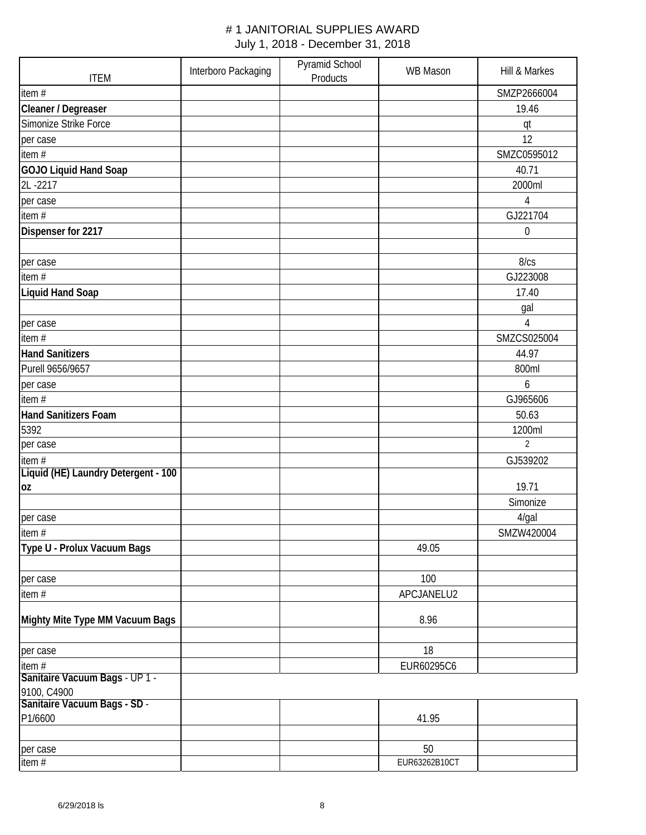| <b>ITEM</b>                             | Interboro Packaging | Pyramid School<br>Products | <b>WB Mason</b> | Hill & Markes    |
|-----------------------------------------|---------------------|----------------------------|-----------------|------------------|
| item $#$                                |                     |                            |                 | SMZP2666004      |
| Cleaner / Degreaser                     |                     |                            |                 | 19.46            |
| Simonize Strike Force                   |                     |                            |                 | qt               |
| per case                                |                     |                            |                 | 12               |
| item $#$                                |                     |                            |                 | SMZC0595012      |
| <b>GOJO Liquid Hand Soap</b>            |                     |                            |                 | 40.71            |
| 2L-2217                                 |                     |                            |                 | 2000ml           |
| per case                                |                     |                            |                 | 4                |
| item $#$                                |                     |                            |                 | GJ221704         |
| Dispenser for 2217                      |                     |                            |                 | $\boldsymbol{0}$ |
|                                         |                     |                            |                 |                  |
| per case                                |                     |                            |                 | 8/cs             |
| item#                                   |                     |                            |                 | GJ223008         |
| <b>Liquid Hand Soap</b>                 |                     |                            |                 | 17.40            |
|                                         |                     |                            |                 | gal              |
| per case                                |                     |                            |                 | 4                |
| item#                                   |                     |                            |                 | SMZCS025004      |
| <b>Hand Sanitizers</b>                  |                     |                            |                 | 44.97            |
| Purell 9656/9657                        |                     |                            |                 | 800ml            |
| per case                                |                     |                            |                 | 6                |
| item $#$                                |                     |                            |                 | GJ965606         |
| <b>Hand Sanitizers Foam</b>             |                     |                            |                 | 50.63            |
| 5392                                    |                     |                            |                 | 1200ml           |
| per case                                |                     |                            |                 | $\overline{2}$   |
| item#                                   |                     |                            |                 | GJ539202         |
| Liquid (HE) Laundry Detergent - 100     |                     |                            |                 |                  |
| 0Z                                      |                     |                            |                 | 19.71            |
|                                         |                     |                            |                 | Simonize         |
| per case                                |                     |                            |                 | 4/gal            |
| item#                                   |                     |                            |                 | SMZW420004       |
| Type U - Prolux Vacuum Bags             |                     |                            | 49.05           |                  |
|                                         |                     |                            |                 |                  |
| per case                                |                     |                            | 100             |                  |
| item#                                   |                     |                            | APCJANELU2      |                  |
|                                         |                     |                            |                 |                  |
| Mighty Mite Type MM Vacuum Bags         |                     |                            | 8.96            |                  |
|                                         |                     |                            |                 |                  |
| per case                                |                     |                            | 18              |                  |
| item#<br>Sanitaire Vacuum Bags - UP 1 - |                     |                            | EUR60295C6      |                  |
| 9100, C4900                             |                     |                            |                 |                  |
| Sanitaire Vacuum Bags - SD -            |                     |                            |                 |                  |
| P1/6600                                 |                     |                            | 41.95           |                  |
|                                         |                     |                            |                 |                  |
| per case                                |                     |                            | 50              |                  |
| item#                                   |                     |                            | EUR63262B10CT   |                  |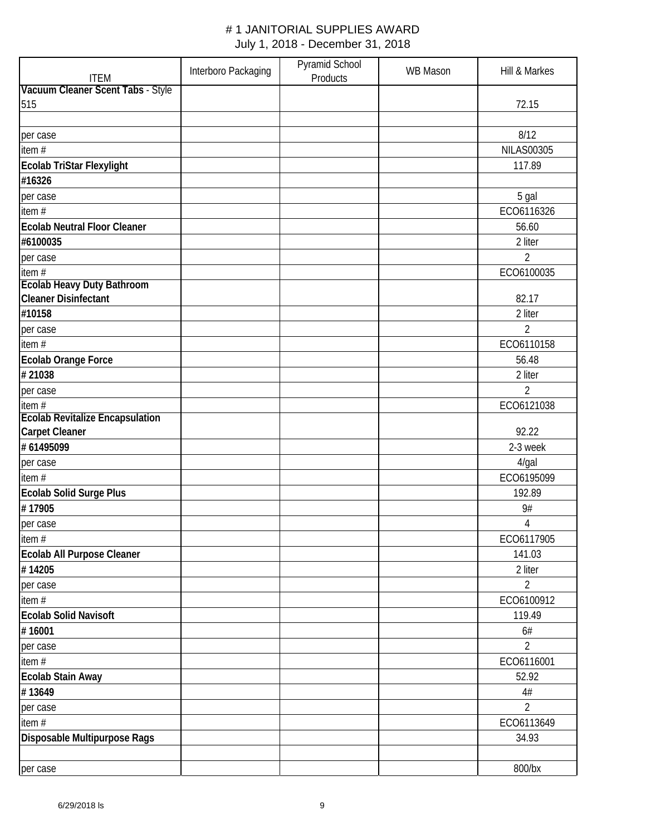| <b>ITEM</b>                            | Interboro Packaging | Pyramid School<br>Products | <b>WB Mason</b> | Hill & Markes     |
|----------------------------------------|---------------------|----------------------------|-----------------|-------------------|
| Vacuum Cleaner Scent Tabs - Style      |                     |                            |                 |                   |
| 515                                    |                     |                            |                 | 72.15             |
|                                        |                     |                            |                 |                   |
| per case                               |                     |                            |                 | 8/12              |
| item#                                  |                     |                            |                 | <b>NILAS00305</b> |
| Ecolab TriStar Flexylight              |                     |                            |                 | 117.89            |
| #16326                                 |                     |                            |                 |                   |
| per case                               |                     |                            |                 | 5 gal             |
| item#                                  |                     |                            |                 | ECO6116326        |
| <b>Ecolab Neutral Floor Cleaner</b>    |                     |                            |                 | 56.60             |
| #6100035                               |                     |                            |                 | 2 liter           |
| per case                               |                     |                            |                 | 2                 |
| item#                                  |                     |                            |                 | ECO6100035        |
| <b>Ecolab Heavy Duty Bathroom</b>      |                     |                            |                 |                   |
| <b>Cleaner Disinfectant</b>            |                     |                            |                 | 82.17             |
| #10158                                 |                     |                            |                 | 2 liter           |
| per case                               |                     |                            |                 | 2                 |
| item#                                  |                     |                            |                 | ECO6110158        |
| Ecolab Orange Force                    |                     |                            |                 | 56.48             |
| #21038                                 |                     |                            |                 | 2 liter           |
| per case                               |                     |                            |                 | 2                 |
| item#                                  |                     |                            |                 | ECO6121038        |
| <b>Ecolab Revitalize Encapsulation</b> |                     |                            |                 |                   |
| <b>Carpet Cleaner</b>                  |                     |                            |                 | 92.22             |
| #61495099                              |                     |                            |                 | 2-3 week          |
| per case                               |                     |                            |                 | $4$ /gal          |
| item $#$                               |                     |                            |                 | ECO6195099        |
| <b>Ecolab Solid Surge Plus</b>         |                     |                            |                 | 192.89            |
| #17905                                 |                     |                            |                 | 9#                |
| per case                               |                     |                            |                 | 4                 |
| item#                                  |                     |                            |                 | ECO6117905        |
| Ecolab All Purpose Cleaner             |                     |                            |                 | 141.03            |
| #14205                                 |                     |                            |                 | 2 liter           |
| per case                               |                     |                            |                 | $\overline{2}$    |
| item#                                  |                     |                            |                 | ECO6100912        |
| <b>Ecolab Solid Navisoft</b>           |                     |                            |                 | 119.49            |
| #16001                                 |                     |                            |                 | 6#                |
| per case                               |                     |                            |                 | 2                 |
| item#                                  |                     |                            |                 | ECO6116001        |
| Ecolab Stain Away                      |                     |                            |                 | 52.92             |
| #13649                                 |                     |                            |                 | 4#                |
| per case                               |                     |                            |                 | 2                 |
| item#                                  |                     |                            |                 | ECO6113649        |
| Disposable Multipurpose Rags           |                     |                            |                 | 34.93             |
|                                        |                     |                            |                 |                   |
| per case                               |                     |                            |                 | 800/bx            |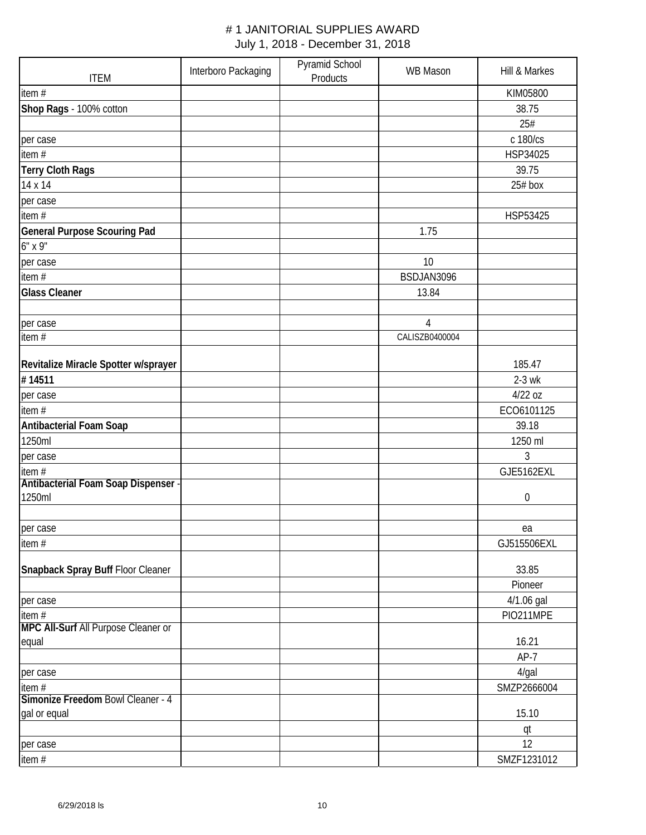| <b>ITEM</b>                          | Interboro Packaging | Pyramid School<br>Products | <b>WB Mason</b> | Hill & Markes    |
|--------------------------------------|---------------------|----------------------------|-----------------|------------------|
| item#                                |                     |                            |                 | KIM05800         |
| Shop Rags - 100% cotton              |                     |                            |                 | 38.75            |
|                                      |                     |                            |                 | 25#              |
| per case                             |                     |                            |                 | c 180/cs         |
| item#                                |                     |                            |                 | HSP34025         |
| <b>Terry Cloth Rags</b>              |                     |                            |                 | 39.75            |
| 14 x 14                              |                     |                            |                 | $25#$ box        |
| per case                             |                     |                            |                 |                  |
| item $#$                             |                     |                            |                 | HSP53425         |
| <b>General Purpose Scouring Pad</b>  |                     |                            | 1.75            |                  |
| 6" x 9"                              |                     |                            |                 |                  |
| per case                             |                     |                            | 10              |                  |
| item#                                |                     |                            | BSDJAN3096      |                  |
| <b>Glass Cleaner</b>                 |                     |                            | 13.84           |                  |
|                                      |                     |                            |                 |                  |
| per case                             |                     |                            | $\overline{4}$  |                  |
| item#                                |                     |                            | CALISZB0400004  |                  |
|                                      |                     |                            |                 |                  |
| Revitalize Miracle Spotter w/sprayer |                     |                            |                 | 185.47           |
| #14511                               |                     |                            |                 | $2-3$ wk         |
| per case                             |                     |                            |                 | 4/22 oz          |
| item#                                |                     |                            |                 | ECO6101125       |
| <b>Antibacterial Foam Soap</b>       |                     |                            |                 | 39.18            |
| 1250ml                               |                     |                            |                 | 1250 ml          |
| per case                             |                     |                            |                 | 3                |
| item #                               |                     |                            |                 | GJE5162EXL       |
| Antibacterial Foam Soap Dispenser -  |                     |                            |                 |                  |
| 1250ml                               |                     |                            |                 | $\boldsymbol{0}$ |
|                                      |                     |                            |                 |                  |
| per case                             |                     |                            |                 | ea               |
| item#                                |                     |                            |                 | GJ515506EXL      |
| Snapback Spray Buff Floor Cleaner    |                     |                            |                 | 33.85            |
|                                      |                     |                            |                 | Pioneer          |
| per case                             |                     |                            |                 | 4/1.06 gal       |
| item#                                |                     |                            |                 | PIO211MPE        |
| MPC All-Surf All Purpose Cleaner or  |                     |                            |                 |                  |
| equal                                |                     |                            |                 | 16.21            |
|                                      |                     |                            |                 | $AP-7$           |
| per case                             |                     |                            |                 | 4/gal            |
| item $#$                             |                     |                            |                 | SMZP2666004      |
| Simonize Freedom Bowl Cleaner - 4    |                     |                            |                 |                  |
| gal or equal                         |                     |                            |                 | 15.10            |
|                                      |                     |                            |                 | qt               |
| per case                             |                     |                            |                 | 12               |
| item#                                |                     |                            |                 | SMZF1231012      |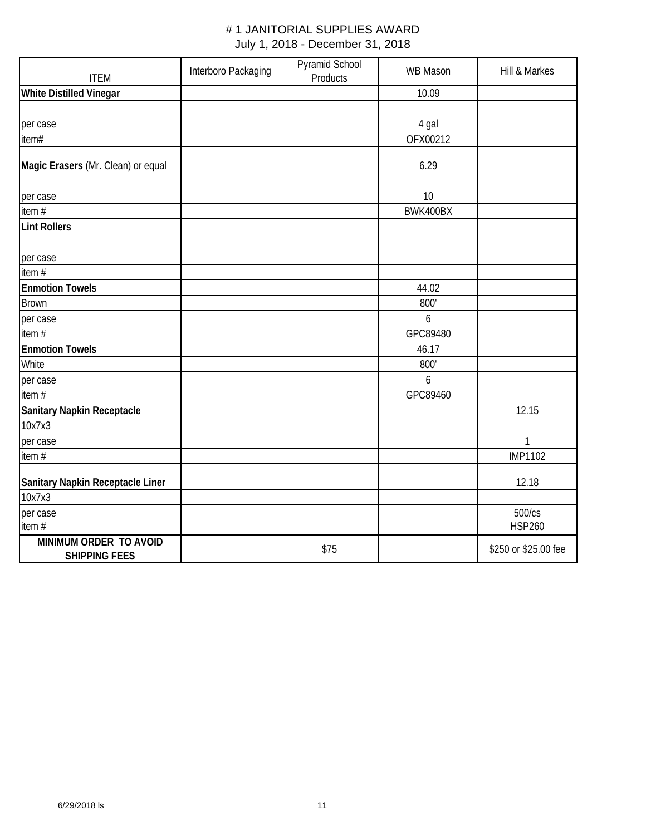| <b>ITEM</b>                                    | Interboro Packaging | Pyramid School<br>Products | <b>WB Mason</b> | Hill & Markes        |
|------------------------------------------------|---------------------|----------------------------|-----------------|----------------------|
| <b>White Distilled Vinegar</b>                 |                     |                            | 10.09           |                      |
|                                                |                     |                            |                 |                      |
| per case                                       |                     |                            | 4 gal           |                      |
| item#                                          |                     |                            | OFX00212        |                      |
| Magic Erasers (Mr. Clean) or equal             |                     |                            | 6.29            |                      |
| per case                                       |                     |                            | 10              |                      |
| item $#$                                       |                     |                            | BWK400BX        |                      |
| <b>Lint Rollers</b>                            |                     |                            |                 |                      |
| per case                                       |                     |                            |                 |                      |
| item#                                          |                     |                            |                 |                      |
| <b>Enmotion Towels</b>                         |                     |                            | 44.02           |                      |
| <b>Brown</b>                                   |                     |                            | 800'            |                      |
| per case                                       |                     |                            | $\overline{6}$  |                      |
| item#                                          |                     |                            | GPC89480        |                      |
| <b>Enmotion Towels</b>                         |                     |                            | 46.17           |                      |
| White                                          |                     |                            | 800'            |                      |
| per case                                       |                     |                            | $\overline{6}$  |                      |
| item#                                          |                     |                            | GPC89460        |                      |
| <b>Sanitary Napkin Receptacle</b>              |                     |                            |                 | 12.15                |
| 10x7x3                                         |                     |                            |                 |                      |
| per case                                       |                     |                            |                 | 1                    |
| item#                                          |                     |                            |                 | <b>IMP1102</b>       |
| Sanitary Napkin Receptacle Liner               |                     |                            |                 | 12.18                |
| 10x7x3                                         |                     |                            |                 |                      |
| per case                                       |                     |                            |                 | 500/cs               |
| item $#$                                       |                     |                            |                 | <b>HSP260</b>        |
| MINIMUM ORDER TO AVOID<br><b>SHIPPING FEES</b> |                     | \$75                       |                 | \$250 or \$25.00 fee |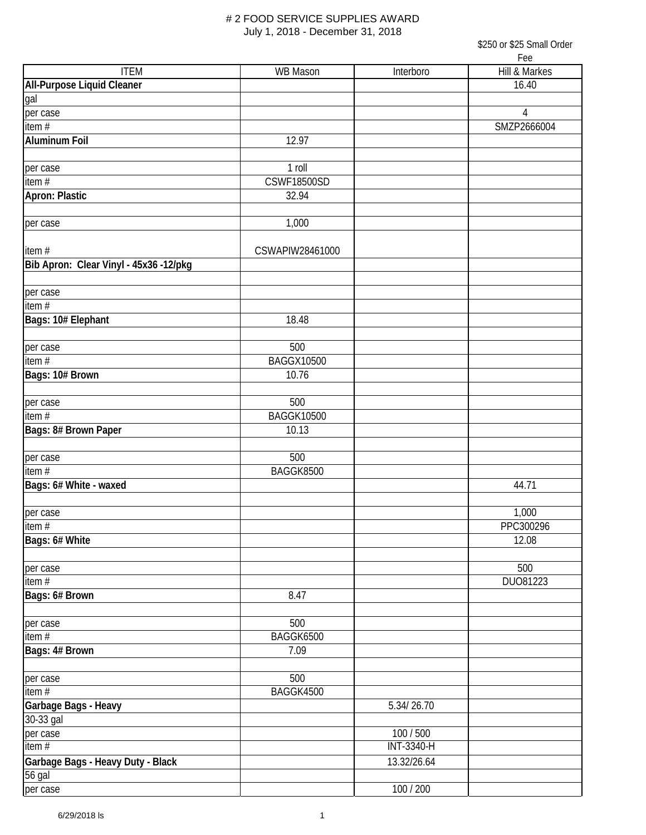\$250 or \$25 Small Order  $\mathbf{r}$ 

| <b>ITEM</b>                            | <b>WB Mason</b>    | Interboro         | ree<br>Hill & Markes |
|----------------------------------------|--------------------|-------------------|----------------------|
| <b>All-Purpose Liquid Cleaner</b>      |                    |                   | 16.40                |
| gal                                    |                    |                   |                      |
| per case                               |                    |                   | 4                    |
| item#                                  |                    |                   | SMZP2666004          |
| <b>Aluminum Foil</b>                   | 12.97              |                   |                      |
|                                        |                    |                   |                      |
| per case                               | 1 roll             |                   |                      |
| item#                                  | <b>CSWF18500SD</b> |                   |                      |
| Apron: Plastic                         | 32.94              |                   |                      |
|                                        |                    |                   |                      |
| per case                               | 1,000              |                   |                      |
|                                        |                    |                   |                      |
| item#                                  | CSWAPIW28461000    |                   |                      |
| Bib Apron: Clear Vinyl - 45x36 -12/pkg |                    |                   |                      |
|                                        |                    |                   |                      |
| per case                               |                    |                   |                      |
| item $#$                               |                    |                   |                      |
| Bags: 10# Elephant                     | 18.48              |                   |                      |
|                                        |                    |                   |                      |
| per case                               | 500                |                   |                      |
| item $#$                               | <b>BAGGX10500</b>  |                   |                      |
| Bags: 10# Brown                        | 10.76              |                   |                      |
|                                        |                    |                   |                      |
| per case                               | 500                |                   |                      |
| item $#$                               | <b>BAGGK10500</b>  |                   |                      |
| Bags: 8# Brown Paper                   | 10.13              |                   |                      |
|                                        |                    |                   |                      |
| per case                               | 500                |                   |                      |
| item $#$                               | BAGGK8500          |                   |                      |
| Bags: 6# White - waxed                 |                    |                   | 44.71                |
|                                        |                    |                   |                      |
| per case                               |                    |                   | 1,000                |
| item #                                 |                    |                   | PPC300296            |
| Bags: 6# White                         |                    |                   | 12.08                |
|                                        |                    |                   |                      |
| per case                               |                    |                   | 500                  |
| item#                                  |                    |                   | DU081223             |
| Bags: 6# Brown                         | 8.47               |                   |                      |
|                                        |                    |                   |                      |
| per case                               | 500                |                   |                      |
| item $#$                               | BAGGK6500          |                   |                      |
| Bags: 4# Brown                         | 7.09               |                   |                      |
|                                        | 500                |                   |                      |
| per case<br>item $#$                   | BAGGK4500          |                   |                      |
| Garbage Bags - Heavy                   |                    | 5.34/26.70        |                      |
| 30-33 gal                              |                    |                   |                      |
| per case                               |                    | 100 / 500         |                      |
| item#                                  |                    | <b>INT-3340-H</b> |                      |
| Garbage Bags - Heavy Duty - Black      |                    | 13.32/26.64       |                      |
| 56 gal                                 |                    |                   |                      |
| per case                               |                    | 100 / 200         |                      |
|                                        |                    |                   |                      |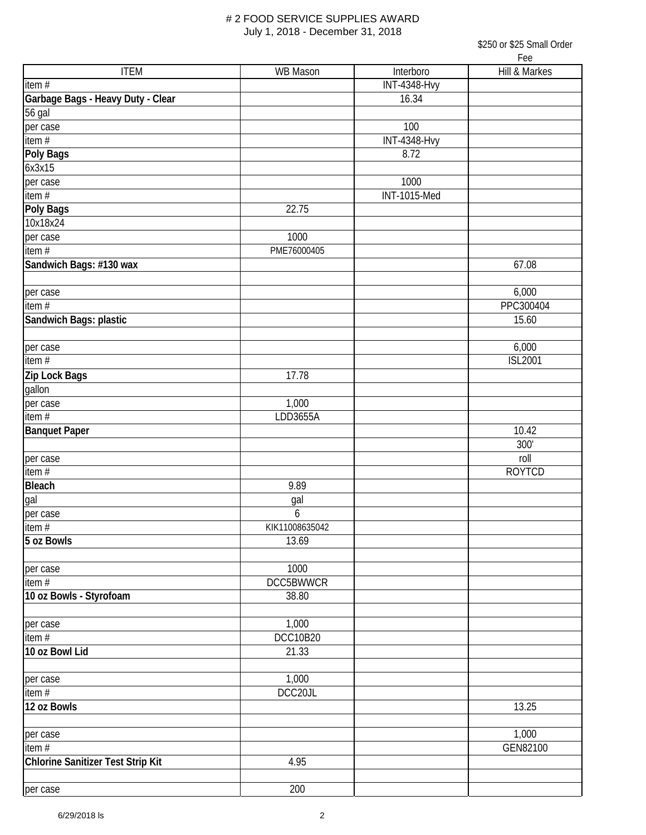| \$250 or \$25 Small Order |     |  |
|---------------------------|-----|--|
|                           | Fee |  |

|                                   |                  |                     | LCC            |
|-----------------------------------|------------------|---------------------|----------------|
| <b>ITEM</b>                       | WB Mason         | Interboro           | Hill & Markes  |
| item #                            |                  | <b>INT-4348-Hvy</b> |                |
| Garbage Bags - Heavy Duty - Clear |                  | 16.34               |                |
| $\overline{56}$ gal               |                  |                     |                |
| per case                          |                  | 100                 |                |
| item #                            |                  | <b>INT-4348-Hvy</b> |                |
| Poly Bags                         |                  | 8.72                |                |
| 6x3x15                            |                  |                     |                |
| per case                          |                  | 1000                |                |
| item $#$                          |                  | INT-1015-Med        |                |
| Poly Bags                         | 22.75            |                     |                |
| 10x18x24                          |                  |                     |                |
| per case                          | 1000             |                     |                |
| item #                            | PME76000405      |                     |                |
| Sandwich Bags: #130 wax           |                  |                     | 67.08          |
|                                   |                  |                     |                |
| per case                          |                  |                     | 6,000          |
| item #                            |                  |                     | PPC300404      |
| Sandwich Bags: plastic            |                  |                     | 15.60          |
|                                   |                  |                     |                |
| per case                          |                  |                     | 6,000          |
| item $#$                          |                  |                     | <b>ISL2001</b> |
| Zip Lock Bags                     | 17.78            |                     |                |
| gallon                            |                  |                     |                |
| per case                          | 1,000            |                     |                |
| item #                            | LDD3655A         |                     |                |
| <b>Banquet Paper</b>              |                  |                     | 10.42          |
|                                   |                  |                     | 300'           |
| per case                          |                  |                     | roll           |
| item #                            |                  |                     | <b>ROYTCD</b>  |
| <b>Bleach</b>                     | 9.89             |                     |                |
| gal                               | gal              |                     |                |
| per case                          | 6                |                     |                |
| item $#$                          | KIK11008635042   |                     |                |
| 5 oz Bowls                        | 13.69            |                     |                |
|                                   |                  |                     |                |
| per case                          | 1000             |                     |                |
| $\overline{\mathsf{item}}$ #      | <b>DCC5BWWCR</b> |                     |                |
| 10 oz Bowls - Styrofoam           | 38.80            |                     |                |
|                                   |                  |                     |                |
| per case                          | 1,000            |                     |                |
| item $#$                          | <b>DCC10B20</b>  |                     |                |
| 10 oz Bowl Lid                    | 21.33            |                     |                |
|                                   |                  |                     |                |
| per case                          | 1,000            |                     |                |
| item #                            | DCC20JL          |                     |                |
| 12 oz Bowls                       |                  |                     | 13.25          |
|                                   |                  |                     |                |
| per case                          |                  |                     | 1,000          |
| $\overline{\mathsf{item}}$ #      |                  |                     | GEN82100       |
| Chlorine Sanitizer Test Strip Kit | 4.95             |                     |                |
|                                   |                  |                     |                |
| per case                          | 200              |                     |                |
|                                   |                  |                     |                |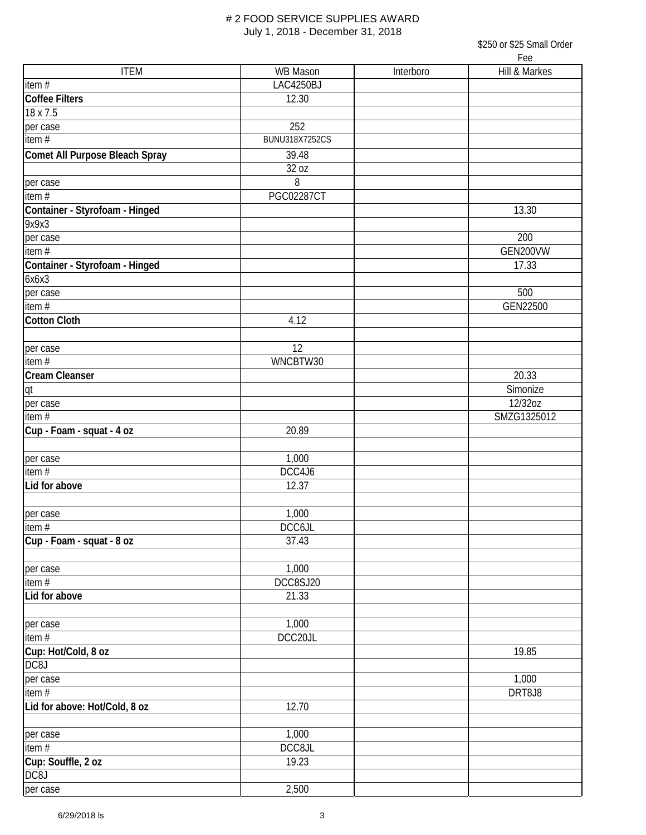|                                |                       |           | । ७७               |
|--------------------------------|-----------------------|-----------|--------------------|
| <b>ITEM</b>                    | WB Mason              | Interboro | Hill & Markes      |
| item#                          | LAC4250BJ             |           |                    |
| <b>Coffee Filters</b>          | 12.30                 |           |                    |
| 18 x 7.5                       |                       |           |                    |
| per case                       | 252                   |           |                    |
| item $#$                       | <b>BUNU318X7252CS</b> |           |                    |
| Comet All Purpose Bleach Spray | 39.48                 |           |                    |
|                                | 32 oz                 |           |                    |
| per case                       | 8                     |           |                    |
| item #                         | <b>PGC02287CT</b>     |           |                    |
| Container - Styrofoam - Hinged |                       |           | $\overline{13.30}$ |
| 9x9x3                          |                       |           |                    |
|                                |                       |           | 200                |
| per case<br>item #             |                       |           | GEN200VW           |
|                                |                       |           |                    |
| Container - Styrofoam - Hinged |                       |           | 17.33              |
| 6x6x3                          |                       |           |                    |
| per case                       |                       |           | 500                |
| item #                         |                       |           | GEN22500           |
| <b>Cotton Cloth</b>            | 4.12                  |           |                    |
| per case                       | 12                    |           |                    |
| item $#$                       | WNCBTW30              |           |                    |
| Cream Cleanser                 |                       |           | 20.33              |
| qt                             |                       |           | Simonize           |
|                                |                       |           | 12/32oz            |
| per case<br>item $#$           |                       |           | SMZG1325012        |
|                                |                       |           |                    |
| Cup - Foam - squat - 4 oz      | 20.89                 |           |                    |
|                                |                       |           |                    |
| per case                       | 1,000<br>DCC4J6       |           |                    |
| item $#$                       |                       |           |                    |
| Lid for above                  | 12.37                 |           |                    |
|                                |                       |           |                    |
| per case                       | 1,000                 |           |                    |
| item $#$                       | DCC6JL                |           |                    |
| Cup - Foam - squat - 8 oz      | 37.43                 |           |                    |
|                                |                       |           |                    |
| per case                       | 1,000                 |           |                    |
| item#                          | DCC8SJ20              |           |                    |
| Lid for above                  | 21.33                 |           |                    |
| per case                       | 1,000                 |           |                    |
| item#                          | DCC20JL               |           |                    |
| Cup: Hot/Cold, 8 oz            |                       |           | 19.85              |
| DC8J                           |                       |           |                    |
|                                |                       |           | 1,000              |
| per case<br>item#              |                       |           | DRT8J8             |
|                                |                       |           |                    |
| Lid for above: Hot/Cold, 8 oz  | 12.70                 |           |                    |
|                                | 1,000                 |           |                    |
| per case                       | DCC8JL                |           |                    |
| $\overline{\mathsf{item}}$ #   |                       |           |                    |
| Cup: Souffle, 2 oz             | 19.23                 |           |                    |
| DC8J                           |                       |           |                    |
| per case                       | 2,500                 |           |                    |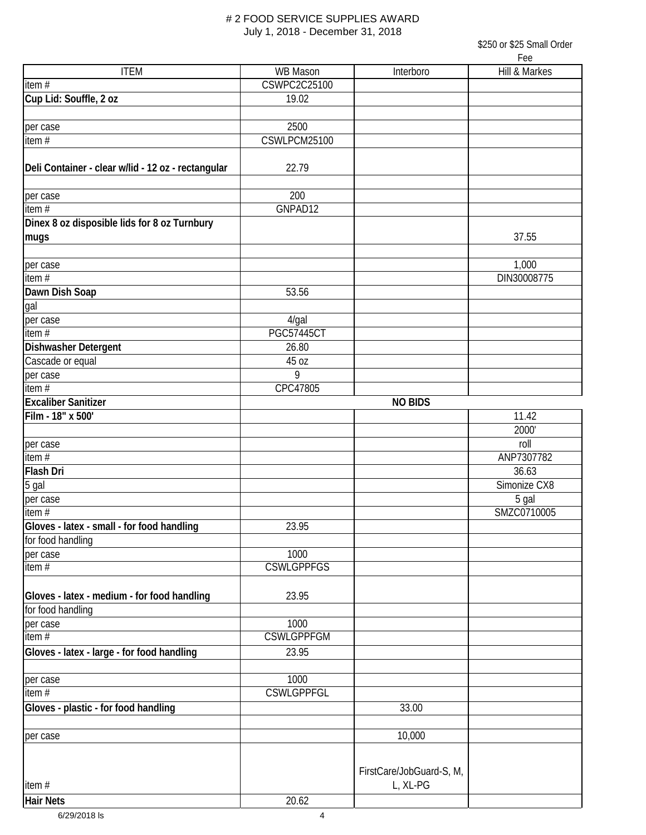|                                                    |                     |                          | LEE           |
|----------------------------------------------------|---------------------|--------------------------|---------------|
| <b>ITEM</b>                                        | <b>WB Mason</b>     | Interboro                | Hill & Markes |
| item #                                             | <b>CSWPC2C25100</b> |                          |               |
| Cup Lid: Souffle, 2 oz                             | 19.02               |                          |               |
|                                                    |                     |                          |               |
| per case                                           | 2500                |                          |               |
| item#                                              | CSWLPCM25100        |                          |               |
|                                                    |                     |                          |               |
| Deli Container - clear w/lid - 12 oz - rectangular | 22.79               |                          |               |
|                                                    |                     |                          |               |
| per case                                           | 200                 |                          |               |
| item #                                             | GNPAD12             |                          |               |
| Dinex 8 oz disposible lids for 8 oz Turnbury       |                     |                          |               |
| mugs                                               |                     |                          | 37.55         |
|                                                    |                     |                          |               |
| per case                                           |                     |                          | 1,000         |
| item $#$                                           |                     |                          | DIN30008775   |
| Dawn Dish Soap                                     | 53.56               |                          |               |
| gal                                                |                     |                          |               |
| per case                                           | $4$ /gal            |                          |               |
| item#                                              | <b>PGC57445CT</b>   |                          |               |
| Dishwasher Detergent                               | 26.80               |                          |               |
| Cascade or equal                                   | 45 oz               |                          |               |
| per case                                           | 9                   |                          |               |
| item $#$                                           | CPC47805            |                          |               |
| <b>Excaliber Sanitizer</b>                         |                     | <b>NO BIDS</b>           |               |
| Film - 18" x 500'                                  |                     |                          | 11.42         |
|                                                    |                     |                          | 2000'         |
| per case                                           |                     |                          | roll          |
| item#                                              |                     |                          | ANP7307782    |
| Flash Dri                                          |                     |                          | 36.63         |
| 5 gal                                              |                     |                          | Simonize CX8  |
| per case                                           |                     |                          | 5 gal         |
| item $#$                                           |                     |                          | SMZC0710005   |
| Gloves - latex - small - for food handling         | 23.95               |                          |               |
| for food handling                                  |                     |                          |               |
| per case                                           | 1000                |                          |               |
| item $#$                                           | <b>CSWLGPPFGS</b>   |                          |               |
|                                                    |                     |                          |               |
| Gloves - latex - medium - for food handling        | 23.95               |                          |               |
| for food handling                                  |                     |                          |               |
| per case                                           | 1000                |                          |               |
| item $#$                                           | <b>CSWLGPPFGM</b>   |                          |               |
| Gloves - latex - large - for food handling         | 23.95               |                          |               |
|                                                    |                     |                          |               |
| per case                                           | 1000                |                          |               |
| item#                                              | <b>CSWLGPPFGL</b>   |                          |               |
| Gloves - plastic - for food handling               |                     | 33.00                    |               |
|                                                    |                     |                          |               |
| per case                                           |                     | 10,000                   |               |
|                                                    |                     |                          |               |
|                                                    |                     |                          |               |
|                                                    |                     | FirstCare/JobGuard-S, M, |               |
| item#                                              |                     | L, XL-PG                 |               |
| <b>Hair Nets</b>                                   | 20.62               |                          |               |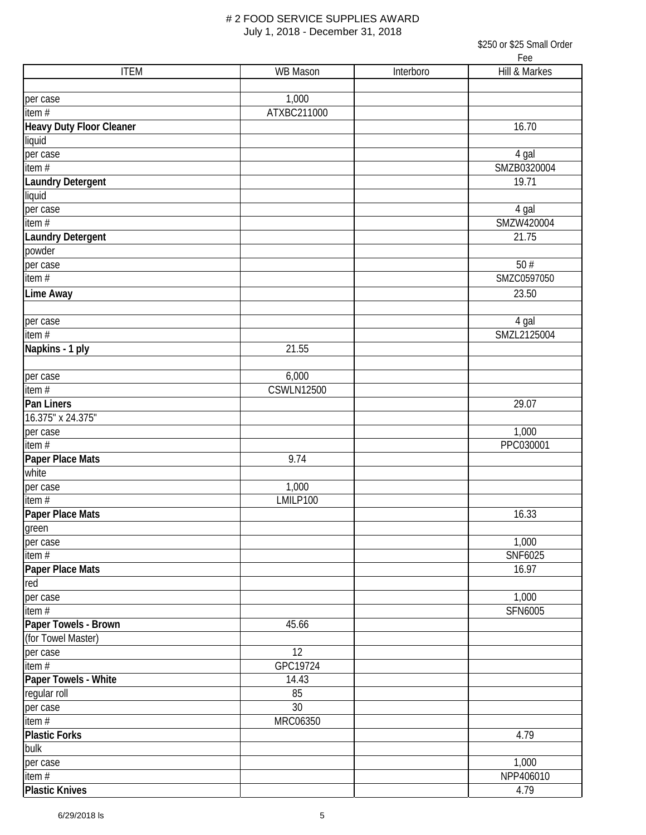\$250 or \$25 Small Order Fee

| <b>ITEM</b>               | WB Mason          | Interboro | TC<br>Hill & Markes |
|---------------------------|-------------------|-----------|---------------------|
|                           |                   |           |                     |
| per case                  | 1,000             |           |                     |
| item $#$                  | ATXBC211000       |           |                     |
| Heavy Duty Floor Cleaner  |                   |           | 16.70               |
| liquid                    |                   |           |                     |
| per case                  |                   |           | 4 gal               |
| item $#$                  |                   |           | SMZB0320004         |
| Laundry Detergent         |                   |           | 19.71               |
| liquid                    |                   |           |                     |
| per case                  |                   |           | 4 gal               |
| item#                     |                   |           | SMZW420004          |
| Laundry Detergent         |                   |           | 21.75               |
| powder                    |                   |           |                     |
| per case                  |                   |           | 50#                 |
| item $#$                  |                   |           | SMZC0597050         |
| Lime Away                 |                   |           | 23.50               |
|                           |                   |           |                     |
| per case                  |                   |           | 4 gal               |
| item $#$                  |                   |           | SMZL2125004         |
| Napkins - 1 ply           | 21.55             |           |                     |
|                           |                   |           |                     |
| per case                  | 6,000             |           |                     |
| item#                     | <b>CSWLN12500</b> |           |                     |
| Pan Liners                |                   |           | 29.07               |
| 16.375" x 24.375"         |                   |           |                     |
| per case                  |                   |           | 1,000               |
| $\frac{1}{\text{item }#}$ |                   |           | PPC030001           |
| Paper Place Mats          | 9.74              |           |                     |
| white                     |                   |           |                     |
| per case                  | 1,000             |           |                     |
| $\frac{1}{1}$ item #      | LMILP100          |           |                     |
| Paper Place Mats          |                   |           | 16.33               |
| green                     |                   |           |                     |
| per case                  |                   |           | 1,000               |
| item $#$                  |                   |           | SNF6025             |
| Paper Place Mats          |                   |           | 16.97               |
| red <sup>:</sup>          |                   |           |                     |
| per case                  |                   |           | 1,000               |
| item $#$                  |                   |           | SFN6005             |
| Paper Towels - Brown      | 45.66             |           |                     |
| (for Towel Master)        |                   |           |                     |
| per case                  | 12                |           |                     |
| item#                     | GPC19724          |           |                     |
| Paper Towels - White      | 14.43             |           |                     |
| regular roll              | 85                |           |                     |
| per case                  | 30                |           |                     |
| item#                     | MRC06350          |           |                     |
| <b>Plastic Forks</b>      |                   |           | 4.79                |
| bulk                      |                   |           |                     |
| per case                  |                   |           | 1,000               |
| item $#$                  |                   |           | NPP406010           |
| <b>Plastic Knives</b>     |                   |           | 4.79                |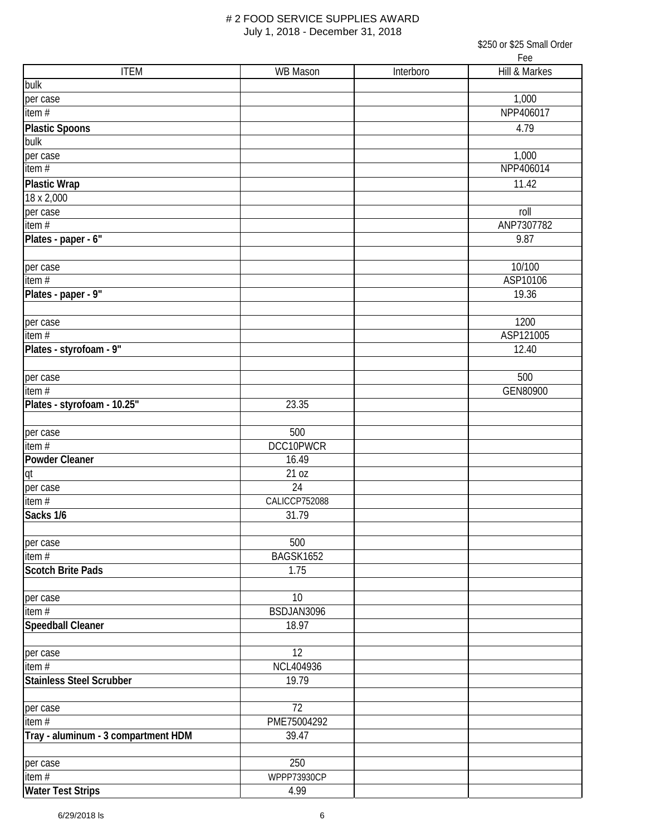| <b>ITEM</b>                         | WB Mason      | Interboro | LGG<br>Hill & Markes |
|-------------------------------------|---------------|-----------|----------------------|
| bulk                                |               |           |                      |
| per case                            |               |           | 1,000                |
| item#                               |               |           | NPP406017            |
| <b>Plastic Spoons</b>               |               |           | 4.79                 |
| bulk                                |               |           |                      |
| per case                            |               |           | 1,000                |
| item $#$                            |               |           | NPP406014            |
| <b>Plastic Wrap</b>                 |               |           | 11.42                |
| 18 x 2,000                          |               |           |                      |
| per case                            |               |           | roll                 |
| item $#$                            |               |           | ANP7307782           |
| Plates - paper - 6"                 |               |           | 9.87                 |
|                                     |               |           |                      |
| per case                            |               |           | 10/100               |
| item $#$                            |               |           | ASP10106             |
| Plates - paper - 9"                 |               |           | 19.36                |
|                                     |               |           |                      |
| per case                            |               |           | 1200                 |
| item $#$                            |               |           | ASP121005            |
| Plates - styrofoam - 9"             |               |           | 12.40                |
|                                     |               |           |                      |
| per case                            |               |           | 500                  |
| item $#$                            |               |           | GEN80900             |
| Plates - styrofoam - 10.25"         | 23.35         |           |                      |
|                                     |               |           |                      |
| per case                            | 500           |           |                      |
| item $#$                            | DCC10PWCR     |           |                      |
| <b>Powder Cleaner</b>               | 16.49         |           |                      |
| qt                                  | 21 oz         |           |                      |
| per case                            | 24            |           |                      |
| item $#$                            | CALICCP752088 |           |                      |
| Sacks 1/6                           | 31.79         |           |                      |
|                                     |               |           |                      |
| per case                            | 500           |           |                      |
| item#                               | BAGSK1652     |           |                      |
| <b>Scotch Brite Pads</b>            | 1.75          |           |                      |
|                                     |               |           |                      |
| per case                            | 10            |           |                      |
| item $#$                            | BSDJAN3096    |           |                      |
| <b>Speedball Cleaner</b>            | 18.97         |           |                      |
|                                     |               |           |                      |
| per case                            | 12            |           |                      |
| item $#$                            | NCL404936     |           |                      |
| <b>Stainless Steel Scrubber</b>     | 19.79         |           |                      |
|                                     |               |           |                      |
| per case                            | 72            |           |                      |
| item#                               | PME75004292   |           |                      |
| Tray - aluminum - 3 compartment HDM | 39.47         |           |                      |
|                                     |               |           |                      |
| per case                            | 250           |           |                      |
| item $#$                            | WPPP73930CP   |           |                      |
| <b>Water Test Strips</b>            | 4.99          |           |                      |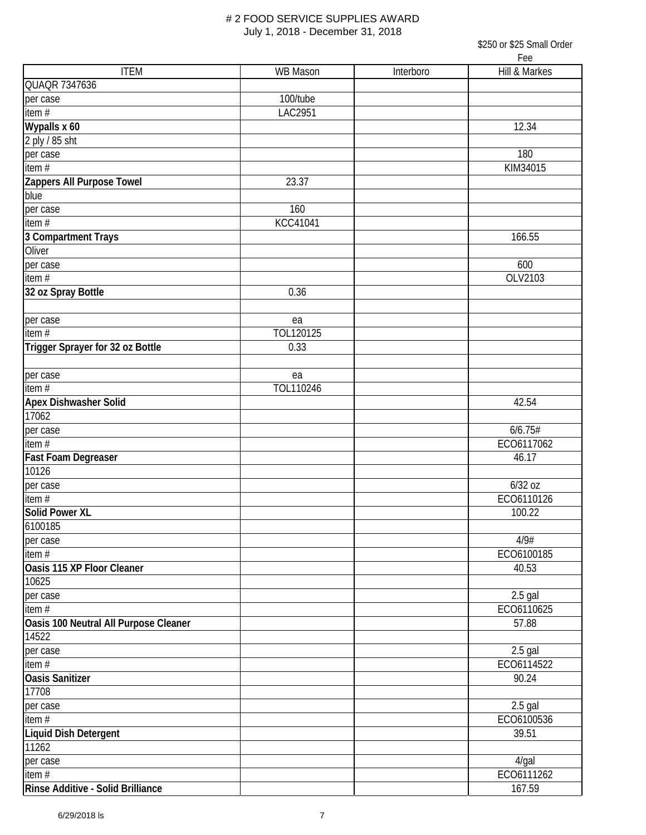|                                       |                |           | Lee           |
|---------------------------------------|----------------|-----------|---------------|
| <b>ITEM</b>                           | WB Mason       | Interboro | Hill & Markes |
| QUAQR 7347636                         |                |           |               |
| per case                              | 100/tube       |           |               |
| item $#$                              | <b>LAC2951</b> |           |               |
| Wypalls x 60                          |                |           | 12.34         |
| 2 ply / 85 sht                        |                |           |               |
| per case                              |                |           | 180           |
| item $#$                              |                |           | KIM34015      |
| Zappers All Purpose Towel             | 23.37          |           |               |
| blue                                  |                |           |               |
| per case                              | 160            |           |               |
| item $#$                              | KCC41041       |           |               |
| 3 Compartment Trays                   |                |           | 166.55        |
| Oliver                                |                |           |               |
|                                       |                |           | 600           |
| per case<br>item #                    |                |           | OLV2103       |
|                                       |                |           |               |
| 32 oz Spray Bottle                    | 0.36           |           |               |
| per case                              | ea             |           |               |
| item $#$                              | TOL120125      |           |               |
| Trigger Sprayer for 32 oz Bottle      | 0.33           |           |               |
|                                       |                |           |               |
| per case                              | ea             |           |               |
| item $#$                              | TOL110246      |           |               |
| <b>Apex Dishwasher Solid</b>          |                |           | 42.54         |
| 17062                                 |                |           |               |
| per case                              |                |           | 6/6.75#       |
| item $#$                              |                |           | ECO6117062    |
|                                       |                |           | 46.17         |
| Fast Foam Degreaser<br>10126          |                |           |               |
|                                       |                |           |               |
| per case                              |                |           | 6/32 oz       |
| item#                                 |                |           | ECO6110126    |
| <b>Solid Power XL</b>                 |                |           | 100.22        |
| 6100185                               |                |           |               |
| per case                              |                |           | 4/9#          |
| item $#$                              |                |           | ECO6100185    |
| Oasis 115 XP Floor Cleaner            |                |           | 40.53         |
| 10625                                 |                |           |               |
| per case                              |                |           | $2.5$ gal     |
| item#                                 |                |           | ECO6110625    |
| Oasis 100 Neutral All Purpose Cleaner |                |           | 57.88         |
| 14522                                 |                |           |               |
| per case                              |                |           | $2.5$ gal     |
| item#                                 |                |           | ECO6114522    |
| <b>Oasis Sanitizer</b>                |                |           | 90.24         |
| 17708                                 |                |           |               |
| per case                              |                |           | $2.5$ gal     |
| item #                                |                |           | ECO6100536    |
| Liquid Dish Detergent                 |                |           | 39.51         |
| 11262                                 |                |           |               |
| per case                              |                |           | 4/gal         |
| item #                                |                |           | ECO6111262    |
| Rinse Additive - Solid Brilliance     |                |           | 167.59        |